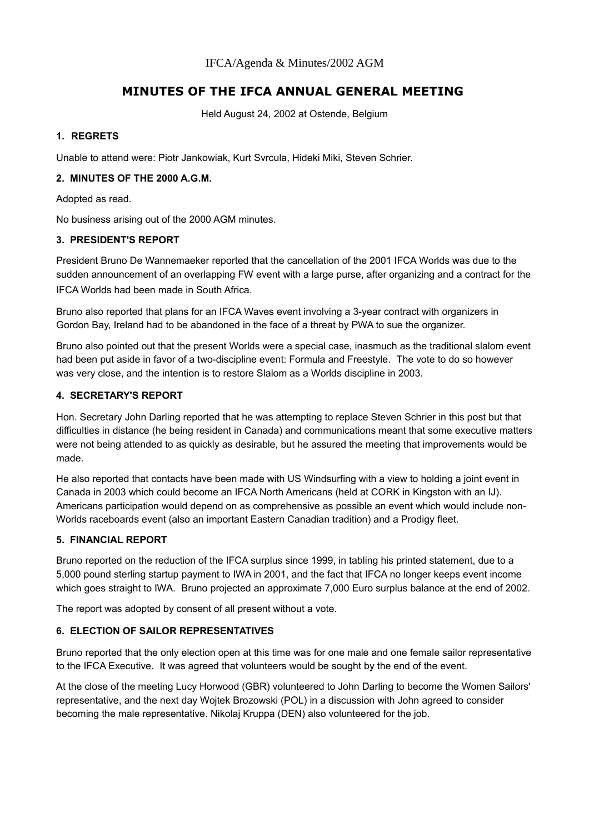# **MINUTES OF THE IFCA ANNUAL GENERAL MEETING**

Held August 24, 2002 at Ostende, Belgium

## **1. REGRETS**

Unable to attend were: Piotr Jankowiak, Kurt Svrcula, Hideki Miki, Steven Schrier.

### **2. MINUTES OF THE 2000 A.G.M.**

Adopted as read.

No business arising out of the 2000 AGM minutes.

#### **3. PRESIDENT'S REPORT**

President Bruno De Wannemaeker reported that the cancellation of the 2001 IFCA Worlds was due to the sudden announcement of an overlapping FW event with a large purse, after organizing and a contract for the IFCA Worlds had been made in South Africa.

Bruno also reported that plans for an IFCA Waves event involving a 3-year contract with organizers in Gordon Bay, Ireland had to be abandoned in the face of a threat by PWA to sue the organizer.

Bruno also pointed out that the present Worlds were a special case, inasmuch as the traditional slalom event had been put aside in favor of a two-discipline event: Formula and Freestyle. The vote to do so however was very close, and the intention is to restore Slalom as a Worlds discipline in 2003.

#### **4. SECRETARY'S REPORT**

Hon. Secretary John Darling reported that he was attempting to replace Steven Schrier in this post but that difficulties in distance (he being resident in Canada) and communications meant that some executive matters were not being attended to as quickly as desirable, but he assured the meeting that improvements would be made.

He also reported that contacts have been made with US Windsurfing with a view to holding a joint event in Canada in 2003 which could become an IFCA North Americans (held at CORK in Kingston with an IJ). Americans participation would depend on as comprehensive as possible an event which would include non-Worlds raceboards event (also an important Eastern Canadian tradition) and a Prodigy fleet.

## **5. FINANCIAL REPORT**

Bruno reported on the reduction of the IFCA surplus since 1999, in tabling his printed statement, due to a 5,000 pound sterling startup payment to IWA in 2001, and the fact that IFCA no longer keeps event income which goes straight to IWA. Bruno projected an approximate 7,000 Euro surplus balance at the end of 2002.

The report was adopted by consent of all present without a vote.

## **6. ELECTION OF SAILOR REPRESENTATIVES**

Bruno reported that the only election open at this time was for one male and one female sailor representative to the IFCA Executive. It was agreed that volunteers would be sought by the end of the event.

At the close of the meeting Lucy Horwood (GBR) volunteered to John Darling to become the Women Sailors' representative, and the next day Wojtek Brozowski (POL) in a discussion with John agreed to consider becoming the male representative. Nikolaj Kruppa (DEN) also volunteered for the job.